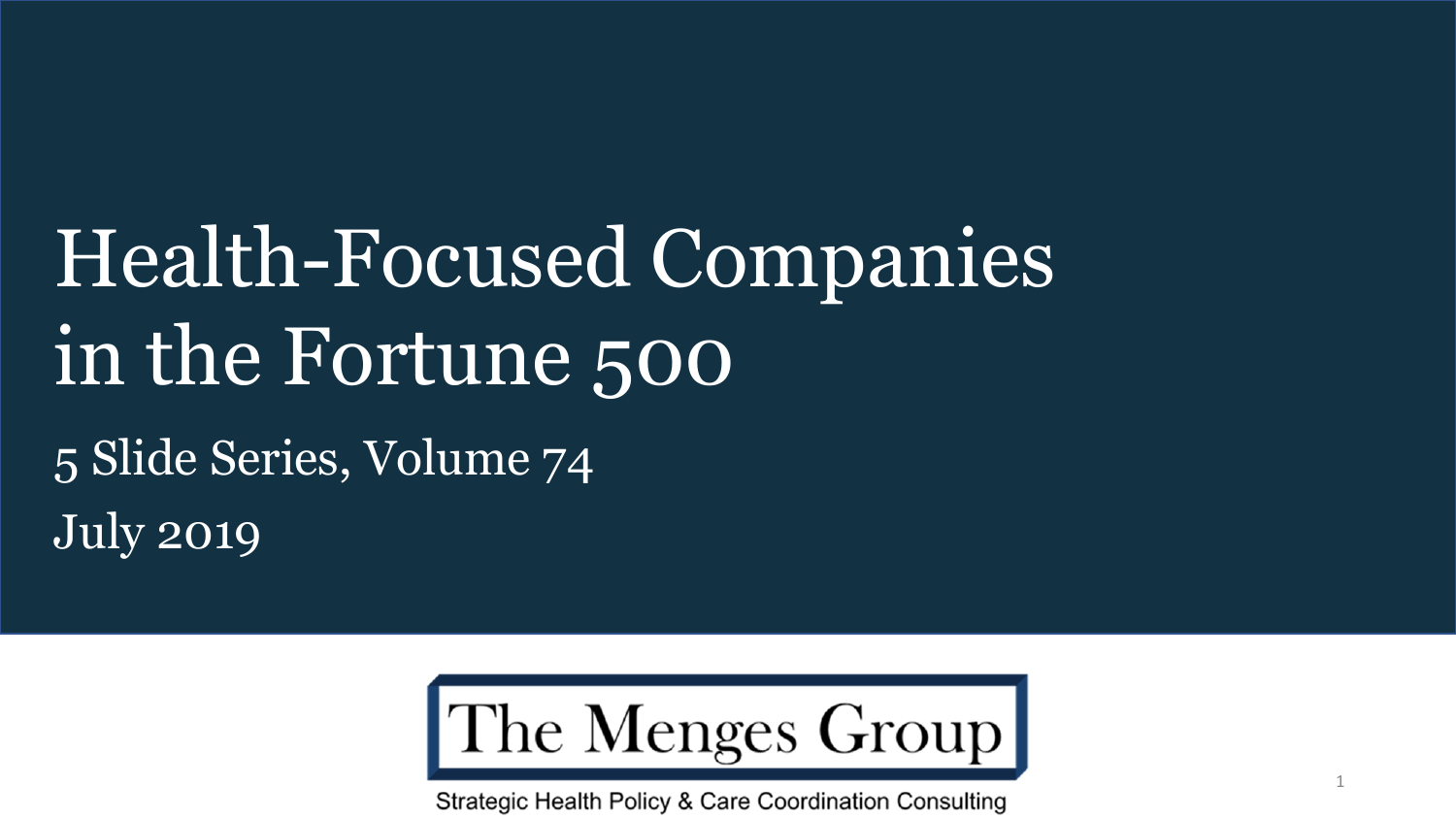# Health-Focused Companies in the Fortune 500 5 Slide Series, Volume 74 July 2019



Strategic Health Policy & Care Coordination Consulting

1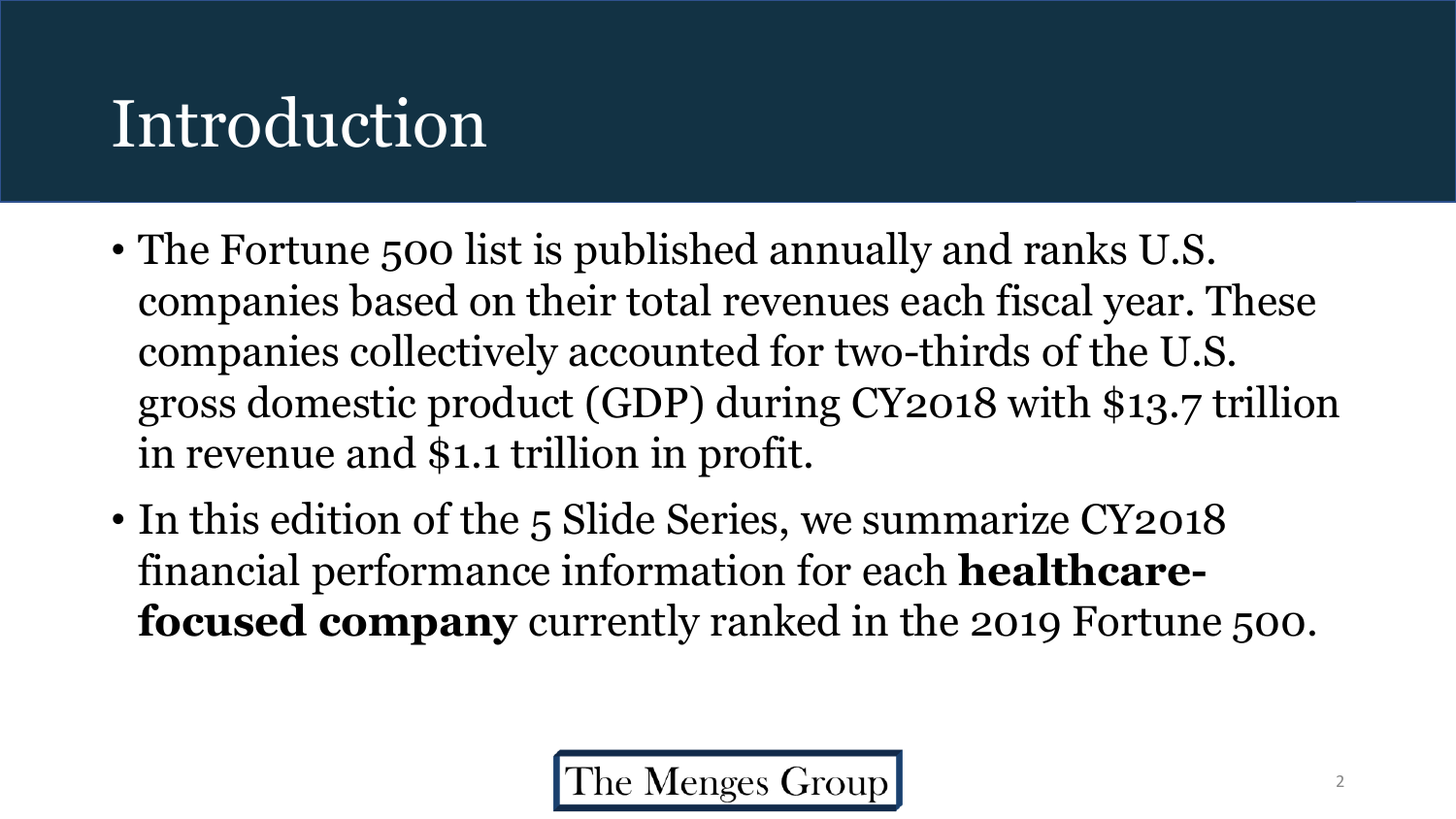## Introduction

- The Fortune 500 list is published annually and ranks U.S. companies based on their total revenues each fiscal year. These companies collectively accounted for two-thirds of the U.S. gross domestic product (GDP) during CY2018 with \$13.7 trillion in revenue and \$1.1 trillion in profit.
- In this edition of the 5 Slide Series, we summarize CY2018 financial performance information for each **healthcarefocused company** currently ranked in the 2019 Fortune 500.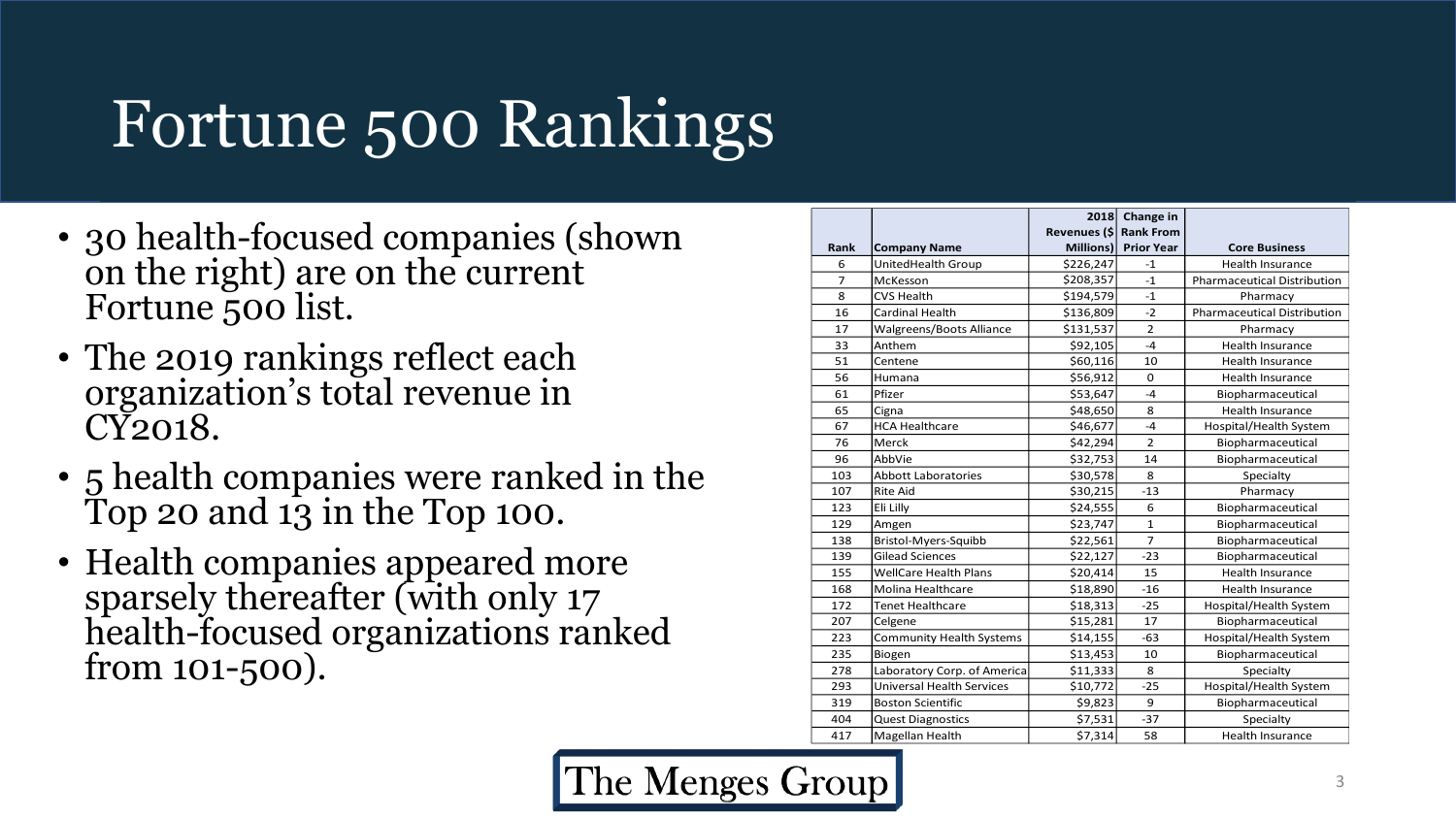# Fortune 500 Rankings

- 30 health-focused companies (shown on the right) are on the current Fortune 500 list.
- The 2019 rankings reflect each organization's total revenue in CY2018.
- 5 health companies were ranked in the Top 20 and  $1\overline{3}$  in the Top 100.
- Health companies appeared more sparsely thereafter (with only 17 health -focused organizations ranked from 101 -500).

| Rank           | <b>Company Name</b>              | Revenues (\$<br>Millions) | 2018 Change in<br><b>Rank From</b><br><b>Prior Year</b> | <b>Core Business</b>               |
|----------------|----------------------------------|---------------------------|---------------------------------------------------------|------------------------------------|
| 6              | UnitedHealth Group               | \$226,247                 | $-1$                                                    | <b>Health Insurance</b>            |
| $\overline{7}$ | McKesson                         | \$208,357                 | $-1$                                                    | <b>Pharmaceutical Distribution</b> |
| 8              | <b>CVS Health</b>                | \$194,579                 | $-1$                                                    | Pharmacy                           |
| 16             | Cardinal Health                  | \$136,809                 | $-2$                                                    | <b>Pharmaceutical Distribution</b> |
| 17             | <b>Walgreens/Boots Alliance</b>  | \$131,537                 | $\overline{2}$                                          | Pharmacy                           |
| 33             | Anthem                           | \$92,105                  | $-4$                                                    | <b>Health Insurance</b>            |
| 51             | Centene                          | \$60,116                  | 10                                                      | <b>Health Insurance</b>            |
| 56             | Humana                           | \$56,912                  | 0                                                       | <b>Health Insurance</b>            |
| 61             | Pfizer                           | \$53,647                  | $-4$                                                    | Biopharmaceutical                  |
| 65             | Cigna                            | \$48,650                  | 8                                                       | <b>Health Insurance</b>            |
| 67             | <b>HCA Healthcare</b>            | \$46,677                  | $-4$                                                    | Hospital/Health System             |
| 76             | Merck                            | \$42,294                  | $\overline{2}$                                          | Biopharmaceutical                  |
| 96             | AbbVie                           | \$32,753                  | 14                                                      | Biopharmaceutical                  |
| 103            | <b>Abbott Laboratories</b>       | \$30,578                  | 8                                                       | Specialty                          |
| 107            | <b>Rite Aid</b>                  | \$30,215                  | $-13$                                                   | Pharmacy                           |
| 123            | Eli Lilly                        | \$24,555                  | 6                                                       | Biopharmaceutical                  |
| 129            | Amgen                            | \$23,747                  | $\mathbf{1}$                                            | Biopharmaceutical                  |
| 138            | Bristol-Myers-Squibb             | \$22,561                  | $\overline{7}$                                          | Biopharmaceutical                  |
| 139            | Gilead Sciences                  | \$22,127                  | $-23$                                                   | Biopharmaceutical                  |
| 155            | <b>WellCare Health Plans</b>     | \$20,414                  | 15                                                      | <b>Health Insurance</b>            |
| 168            | <b>Molina Healthcare</b>         | \$18,890                  | $-16$                                                   | <b>Health Insurance</b>            |
| 172            | <b>Tenet Healthcare</b>          | \$18,313                  | $-25$                                                   | Hospital/Health System             |
| 207            | Celgene                          | \$15,281                  | 17                                                      | Biopharmaceutical                  |
| 223            | Community Health Systems         | \$14,155                  | $-63$                                                   | Hospital/Health System             |
| 235            | Biogen                           | \$13,453                  | 10                                                      | Biopharmaceutical                  |
| 278            | Laboratory Corp. of America      | \$11,333                  | 8                                                       | Specialty                          |
| 293            | <b>Universal Health Services</b> | \$10,772                  | $-25$                                                   | Hospital/Health System             |
| 319            | <b>Boston Scientific</b>         | \$9,823                   | 9                                                       | Biopharmaceutical                  |
| 404            | <b>Quest Diagnostics</b>         | \$7,531                   | $-37$                                                   | Specialty                          |
| 417            | Magellan Health                  | \$7,314                   | 58                                                      | <b>Health Insurance</b>            |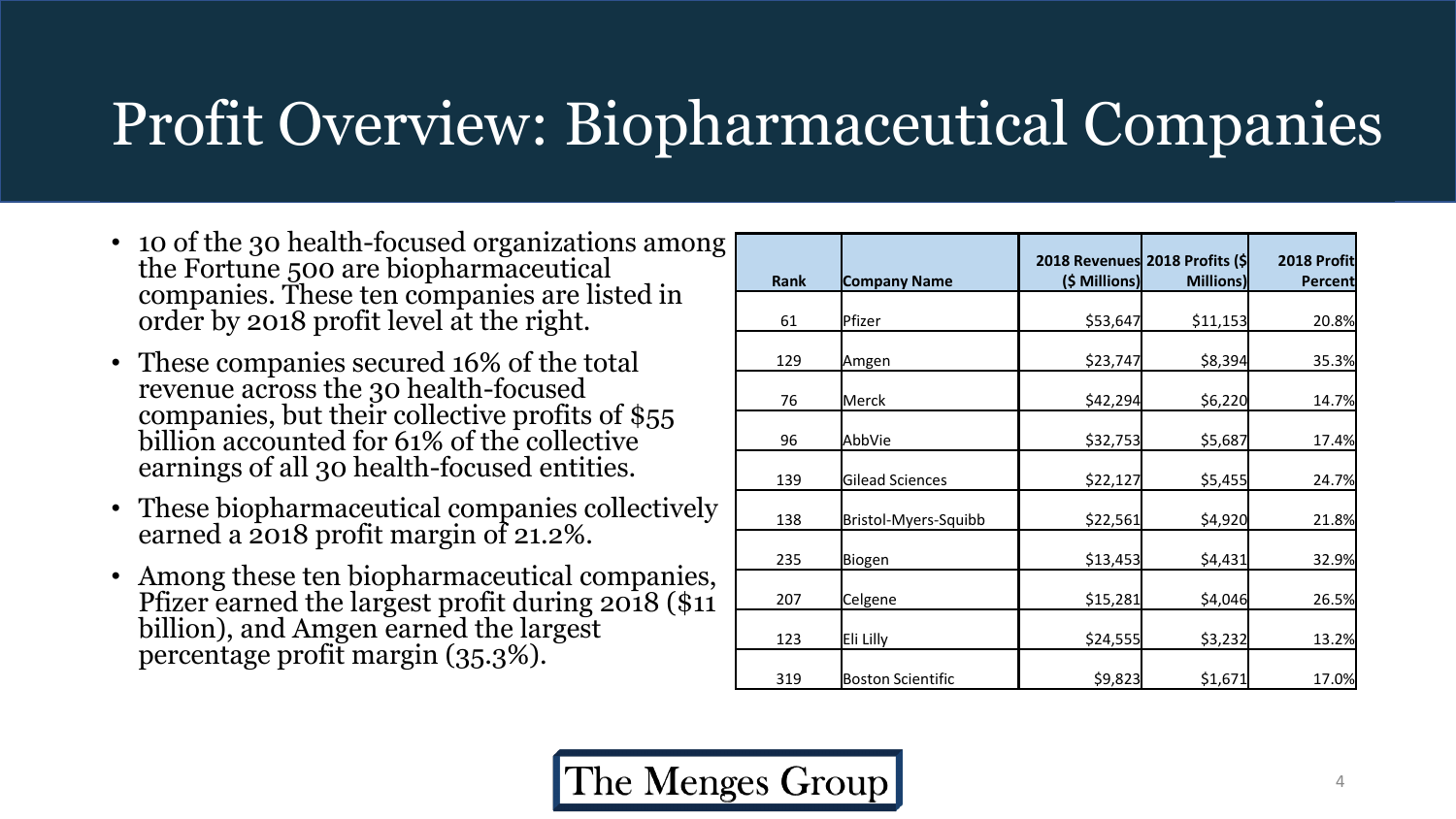#### Profit Overview: Biopharmaceutical Companies

- 10 of the 30 health-focused organizations among the Fortune 500 are biopharmaceutical companies. These ten companies are listed in order by 2018 profit level at the right.
- These companies secured 16% of the total revenue across the 30 health-focused companies, but their collective profits of \$55 billion accounted for 61% of the collective earnings of all 30 health-focused entities.
- These biopharmaceutical companies collectively earned a 2018 profit margin of 21.2%.
- Among these ten biopharmaceutical companies, Pfizer earned the largest profit during 2018 (\$11) billion), and Amgen earned the largest percentage profit margin (35.3%).

| <b>Rank</b> | <b>Company Name</b>      | (\$ Millions) | 2018 Revenues 2018 Profits (\$<br><b>Millions)</b> | 2018 Profit<br>Percent |
|-------------|--------------------------|---------------|----------------------------------------------------|------------------------|
| 61          | Pfizer                   | \$53,647      | \$11,153                                           | 20.8%                  |
| 129         | Amgen                    | \$23,747      | \$8,394                                            | 35.3%                  |
| 76          | <b>Merck</b>             | \$42,294      | \$6,220                                            | 14.7%                  |
| 96          | AbbVie                   | \$32,753      | \$5,687                                            | 17.4%                  |
| 139         | <b>Gilead Sciences</b>   | \$22,127      | \$5,455                                            | 24.7%                  |
| 138         | Bristol-Myers-Squibb     | \$22,561      | \$4,920                                            | 21.8%                  |
| 235         | Biogen                   | \$13,453      | \$4,431                                            | 32.9%                  |
| 207         | Celgene                  | \$15,281      | \$4,046                                            | 26.5%                  |
| 123         | Eli Lilly                | \$24,555      | \$3,232                                            | 13.2%                  |
| 319         | <b>Boston Scientific</b> | \$9,823       | \$1,671                                            | 17.0%                  |

The Menges Group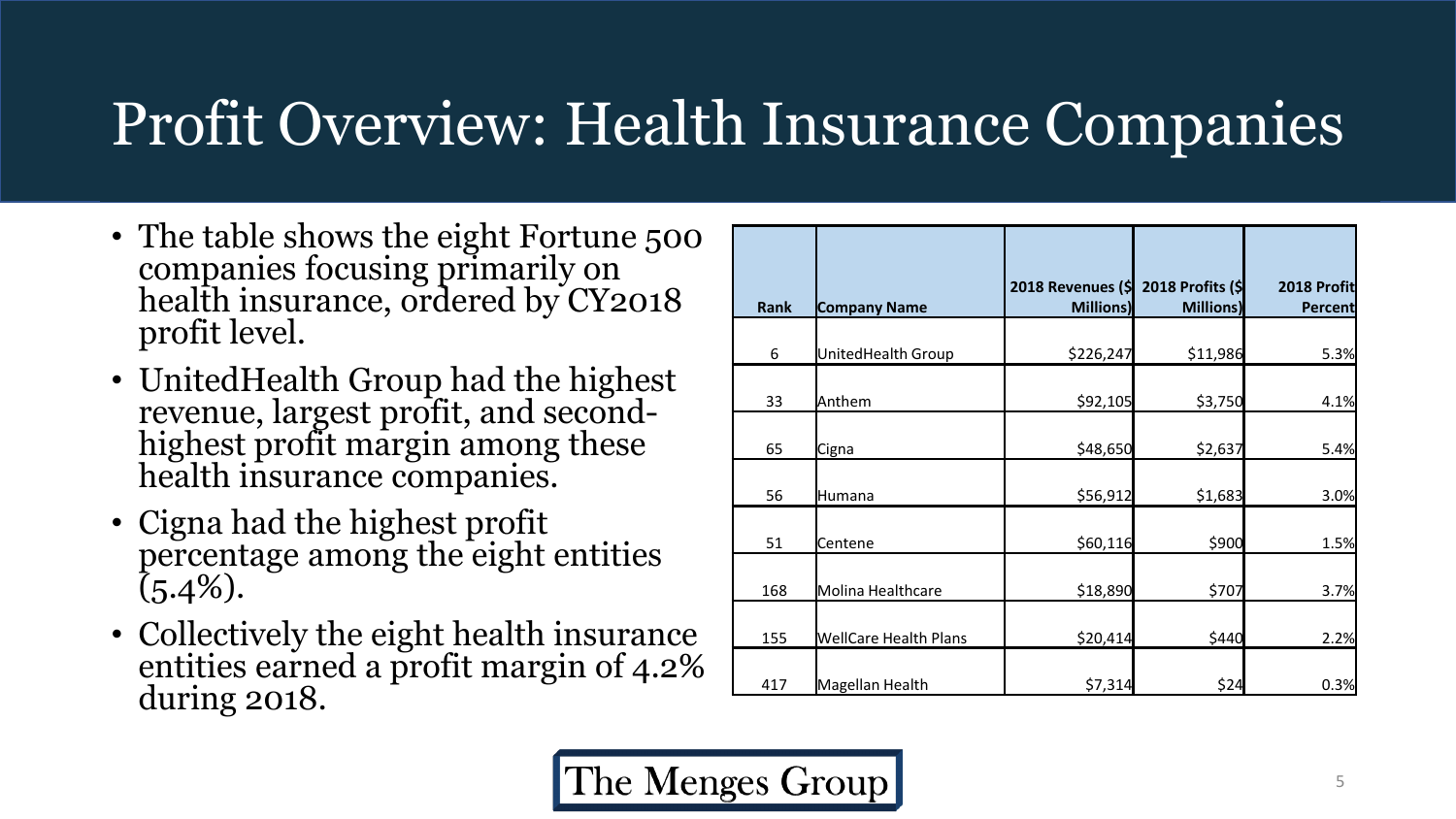#### Profit Overview: Health Insurance Companies

- The table shows the eight Fortune 500 companies focusing primarily on health insurance, ordered by CY2018 profit level.
- UnitedHealth Group had the highest revenue, largest profit, and secondhighest profit margin among these health insurance companies.
- Cigna had the highest profit percentage among the eight entities  $(5.4\%).$
- Collectively the eight health insurance entities earned a profit margin of 4.2% during 2018.

| <b>Rank</b> | <b>Company Name</b>          | 2018 Revenues (\$<br><b>Millions)</b> | 2018 Profits (\$<br><b>Millions)</b> | 2018 Profit<br>Percent |
|-------------|------------------------------|---------------------------------------|--------------------------------------|------------------------|
|             |                              |                                       |                                      |                        |
| 6           | UnitedHealth Group           | \$226,247                             | \$11,986                             | 5.3%                   |
| 33          | Anthem                       | \$92,105                              | \$3,750                              | 4.1%                   |
| 65          | Cigna                        | \$48,650                              | \$2,637                              | 5.4%                   |
| 56          | Humana                       | \$56,912                              | \$1,683                              | 3.0%                   |
| 51          | Centene                      | \$60,116                              | \$900                                | 1.5%                   |
| 168         | Molina Healthcare            | \$18,890                              | \$707                                | 3.7%                   |
| 155         | <b>WellCare Health Plans</b> | \$20,414                              | \$440                                | 2.2%                   |
| 417         | Magellan Health              | \$7,314                               | \$24                                 | 0.3%                   |

The Menges Group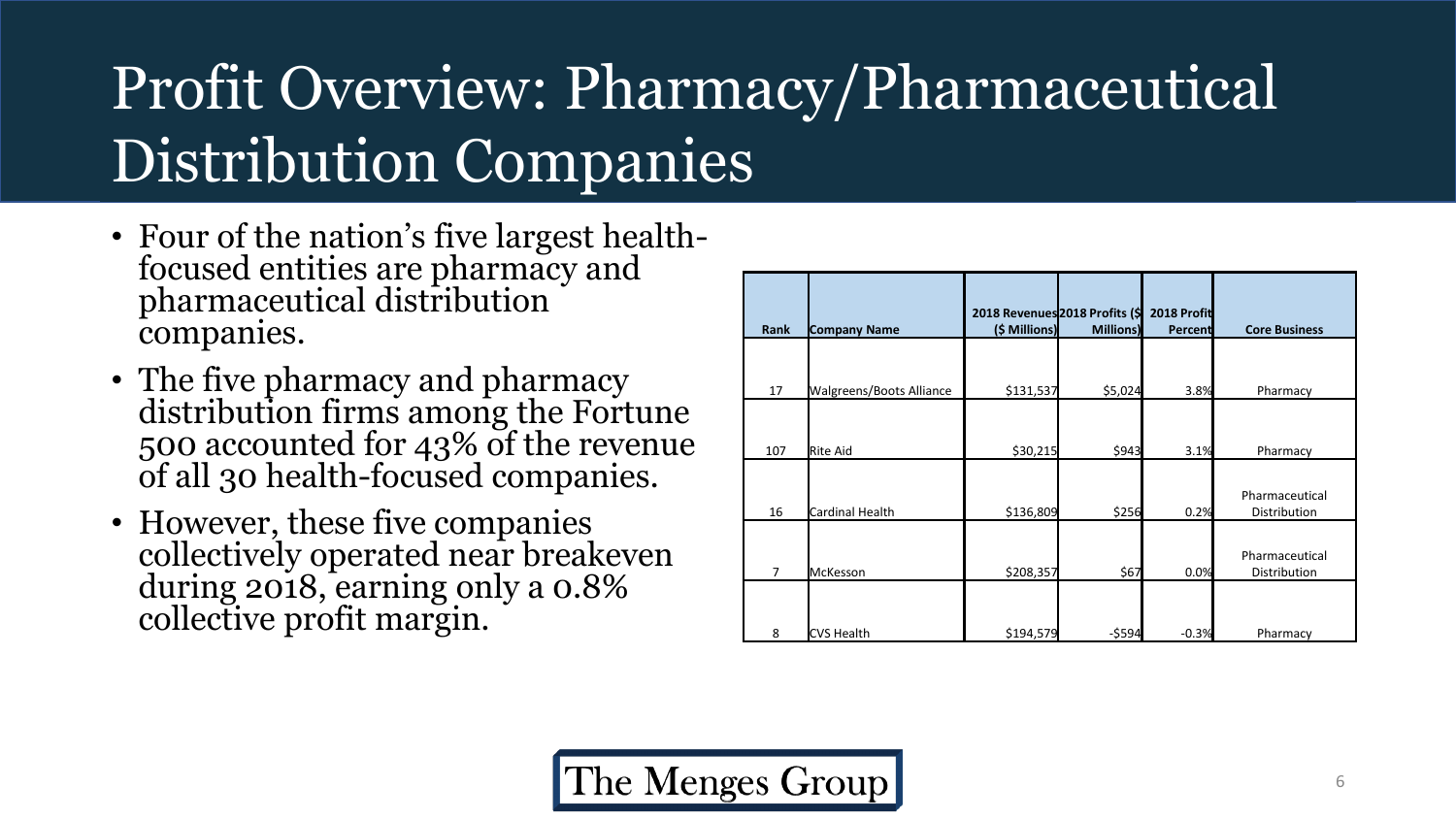### Profit Overview: Pharmacy/Pharmaceutical Distribution Companies

- Four of the nation's five largest healthfocused entities are pharmacy and pharmaceutical distribution companies.
- The five pharmacy and pharmacy distribution firms among the Fortune 500 accounted for 43% of the revenue of all 30 health-focused companies.
- However, these five companies collectively operated near breakeven during 2018, earning only a 0.8% collective profit margin.

| <b>Rank</b>    | <b>Company Name</b>             | 2018 Revenues 2018 Profits (\$<br>(\$ Millions) | <b>Millions</b> ) | 2018 Profit<br>Percent | <b>Core Business</b>           |
|----------------|---------------------------------|-------------------------------------------------|-------------------|------------------------|--------------------------------|
| 17             | <b>Walgreens/Boots Alliance</b> | \$131,537                                       | \$5,024           | 3.8%                   | Pharmacy                       |
| 107            | <b>Rite Aid</b>                 | \$30,215                                        | \$943             | 3.1%                   | Pharmacy                       |
| 16             | Cardinal Health                 | \$136,809                                       | \$256             | 0.2%                   | Pharmaceutical<br>Distribution |
| $\overline{7}$ | <b>McKesson</b>                 | \$208,357                                       | \$67              | 0.0%                   | Pharmaceutical<br>Distribution |
| 8              | <b>CVS Health</b>               | \$194,579                                       | $-5594$           | $-0.3%$                | Pharmacy                       |

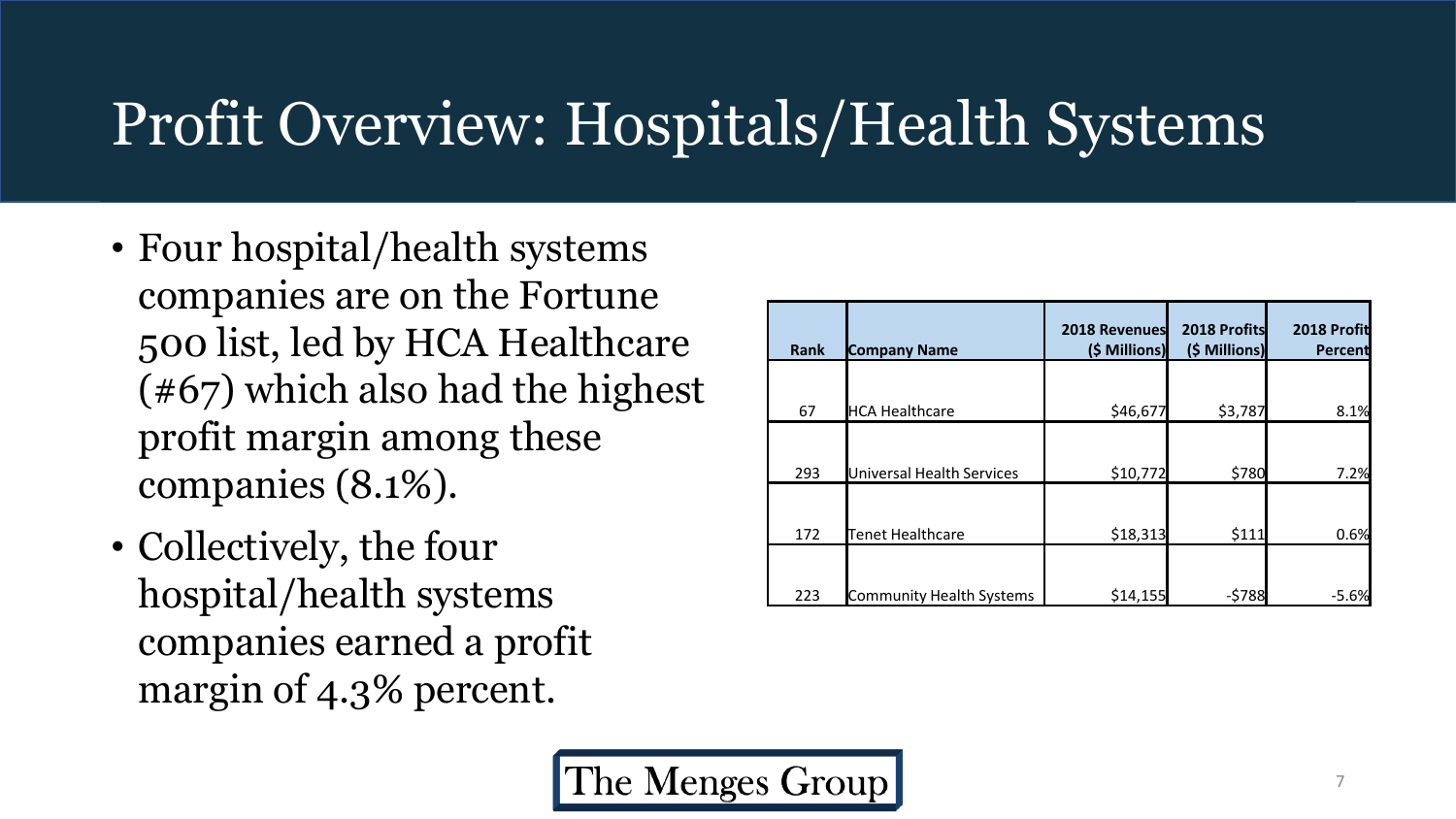#### Profit Overview: Hospitals/Health Systems

- Four hospital/health systems companies are on the Fortune 500 list, led by HCA Healthcare (#67) which also had the highest profit margin among these companies (8.1%).
- Collectively, the four hospital/health systems companies earned a profit margin of 4.3% percent.

| <b>Rank</b> | <b>Company Name</b>       | 2018 Revenues<br>(\$ Millions) | 2018 Profits<br>(\$ Millions) | 2018 Profit<br>Percent |
|-------------|---------------------------|--------------------------------|-------------------------------|------------------------|
| 67          | <b>HCA Healthcare</b>     | \$46,677                       | \$3,787                       | 8.1%                   |
| 293         | Universal Health Services | \$10,772                       | \$780                         | 7.2%                   |
| 172         | Tenet Healthcare          | \$18,313                       | \$111                         | 0.6%                   |
| 223         | Community Health Systems  | \$14,155                       | $-5788$                       | $-5.6%$                |

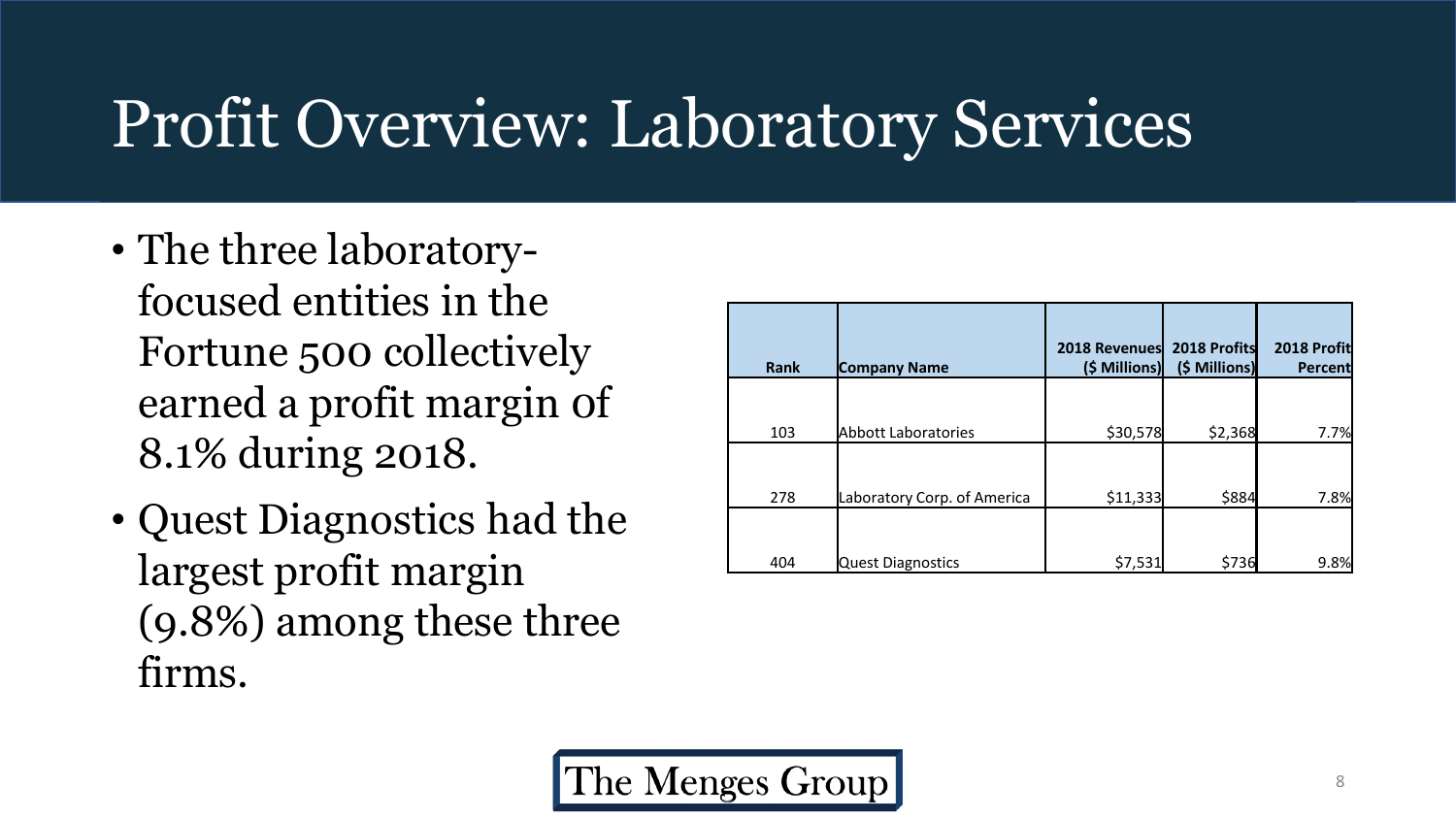### Profit Overview: Laboratory Services

- The three laboratoryfocused entities in the Fortune 500 collectively earned a profit margin 0f 8.1% during 2018.
- Quest Diagnostics had the largest profit margin (9.8%) among these three firms.

| <b>Rank</b> | <b>Company Name</b>         | 2018 Revenues<br>(\$ Millions) | 2018 Profits<br>(\$ Millions) | 2018 Profit<br>Percent |
|-------------|-----------------------------|--------------------------------|-------------------------------|------------------------|
|             |                             |                                |                               |                        |
| 103         | <b>Abbott Laboratories</b>  | \$30,578                       | \$2,368                       | 7.7%                   |
| 278         | Laboratory Corp. of America | \$11,333                       | \$884                         | 7.8%                   |
| 404         | <b>Quest Diagnostics</b>    | \$7,531                        | \$736                         | 9.8%                   |